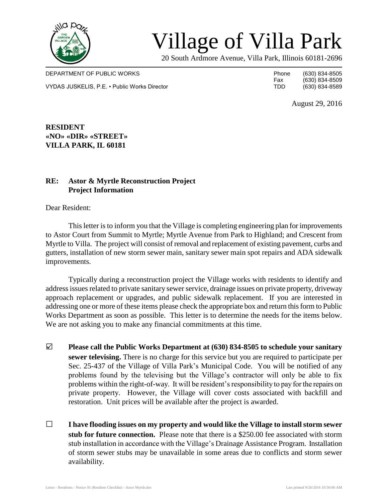

## Village of Villa Park

20 South Ardmore Avenue, Villa Park, Illinois 60181-2696

DEPARTMENT OF PUBLIC WORKS **Phone** (630) 834-8505 VYDAS JUSKELIS, P.E. • Public Works Director The Contractor TDD (630) 834-8589

Fax (630) 834-8509<br>TDD (630) 834-8589

August 29, 2016

**RESIDENT «NO» «DIR» «STREET» VILLA PARK, IL 60181**

## **RE: Astor & Myrtle Reconstruction Project Project Information**

Dear Resident:

This letter is to inform you that the Village is completing engineering plan for improvements to Astor Court from Summit to Myrtle; Myrtle Avenue from Park to Highland; and Crescent from Myrtle to Villa. The project will consist of removal and replacement of existing pavement, curbs and gutters, installation of new storm sewer main, sanitary sewer main spot repairs and ADA sidewalk improvements.

Typically during a reconstruction project the Village works with residents to identify and address issues related to private sanitary sewer service, drainage issues on private property, driveway approach replacement or upgrades, and public sidewalk replacement. If you are interested in addressing one or more of these items please check the appropriate box and return this form to Public Works Department as soon as possible. This letter is to determine the needs for the items below. We are not asking you to make any financial commitments at this time.

- □ **Please call the Public Works Department at (630) 834-8505 to schedule your sanitary sewer televising.** There is no charge for this service but you are required to participate per Sec. 25-437 of the Village of Villa Park's Municipal Code. You will be notified of any problems found by the televising but the Village's contractor will only be able to fix problems within the right-of-way. It will be resident's responsibility to pay for the repairs on private property. However, the Village will cover costs associated with backfill and restoration. Unit prices will be available after the project is awarded.
- □ **I have flooding issues on my property and would like the Village to install storm sewer stub for future connection.** Please note that there is a \$250.00 fee associated with storm stub installation in accordance with the Village's Drainage Assistance Program. Installation of storm sewer stubs may be unavailable in some areas due to conflicts and storm sewer availability.